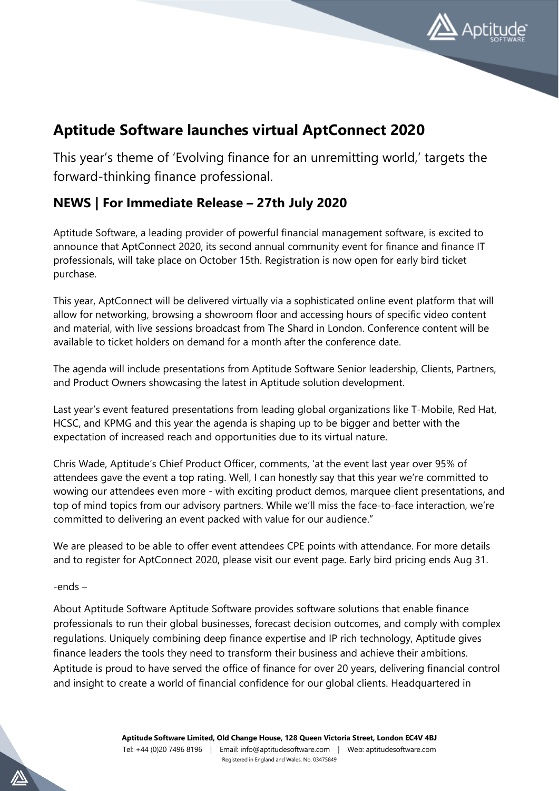

## **Aptitude Software launches virtual AptConnect 2020**

This year's theme of 'Evolving finance for an unremitting world,' targets the forward-thinking finance professional.

## **NEWS | For Immediate Release – 27th July 2020**

Aptitude Software, a leading provider of powerful financial management software, is excited to announce that AptConnect 2020, its second annual community event for finance and finance IT professionals, will take place on October 15th. Registration is now open for early bird ticket purchase.

This year, AptConnect will be delivered virtually via a sophisticated online event platform that will allow for networking, browsing a showroom floor and accessing hours of specific video content and material, with live sessions broadcast from The Shard in London. Conference content will be available to ticket holders on demand for a month after the conference date.

The agenda will include presentations from Aptitude Software Senior leadership, Clients, Partners, and Product Owners showcasing the latest in Aptitude solution development.

Last year's event featured presentations from leading global organizations like T-Mobile, Red Hat, HCSC, and KPMG and this year the agenda is shaping up to be bigger and better with the expectation of increased reach and opportunities due to its virtual nature.

Chris Wade, Aptitude's Chief Product Officer, comments, 'at the event last year over 95% of attendees gave the event a top rating. Well, I can honestly say that this year we're committed to wowing our attendees even more - with exciting product demos, marquee client presentations, and top of mind topics from our advisory partners. While we'll miss the face-to-face interaction, we're committed to delivering an event packed with value for our audience."

We are pleased to be able to offer event attendees CPE points with attendance. For more details and to register for AptConnect 2020, please visit our event page. Early bird pricing ends Aug 31.

## -ends –

About Aptitude Software Aptitude Software provides software solutions that enable finance professionals to run their global businesses, forecast decision outcomes, and comply with complex regulations. Uniquely combining deep finance expertise and IP rich technology, Aptitude gives finance leaders the tools they need to transform their business and achieve their ambitions. Aptitude is proud to have served the office of finance for over 20 years, delivering financial control and insight to create a world of financial confidence for our global clients. Headquartered in